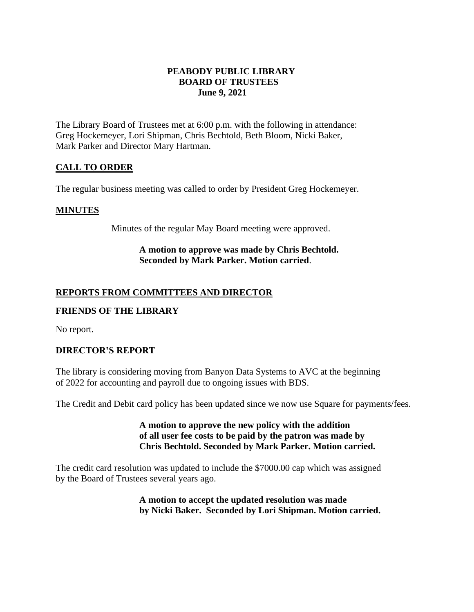## **PEABODY PUBLIC LIBRARY BOARD OF TRUSTEES June 9, 2021**

The Library Board of Trustees met at 6:00 p.m. with the following in attendance: Greg Hockemeyer, Lori Shipman, Chris Bechtold, Beth Bloom, Nicki Baker, Mark Parker and Director Mary Hartman.

# **CALL TO ORDER**

The regular business meeting was called to order by President Greg Hockemeyer.

#### **MINUTES**

Minutes of the regular May Board meeting were approved.

## **A motion to approve was made by Chris Bechtold. Seconded by Mark Parker. Motion carried**.

## **REPORTS FROM COMMITTEES AND DIRECTOR**

#### **FRIENDS OF THE LIBRARY**

No report.

#### **DIRECTOR'S REPORT**

The library is considering moving from Banyon Data Systems to AVC at the beginning of 2022 for accounting and payroll due to ongoing issues with BDS.

The Credit and Debit card policy has been updated since we now use Square for payments/fees.

## **A motion to approve the new policy with the addition of all user fee costs to be paid by the patron was made by Chris Bechtold. Seconded by Mark Parker. Motion carried.**

The credit card resolution was updated to include the \$7000.00 cap which was assigned by the Board of Trustees several years ago.

> **A motion to accept the updated resolution was made by Nicki Baker. Seconded by Lori Shipman. Motion carried.**